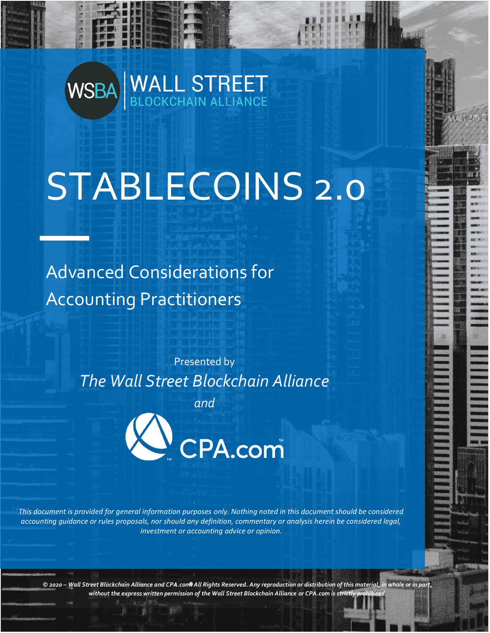# WSBA WALL STREET

# STABLECOINS 2.0

Advanced Considerations for Accounting Practitioners

> Presented by *The Wall Street Blockchain Alliance*

*and*



*This document is provided for general information purposes only. Nothing noted in this document should be considered accounting guidance or rules proposals, nor should any definition, commentary or analysis herein be considered legal, investment or accounting advice or opinion.*

*© 2020 – Wall Street Blockchain Alliance and CPA.com. All Rights Reserved. Any reproduction or distribution of this material, in whole or in part,*  without the express written permission of the Wall Street Blockchain Alliance or CPA.com is strictly p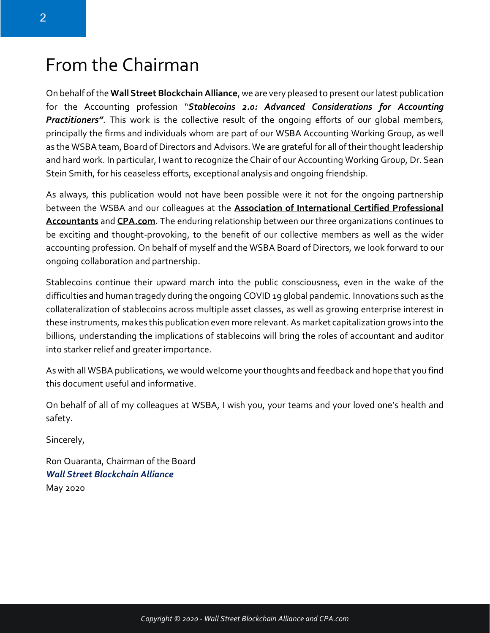## From the Chairman

On behalf of the **Wall Street Blockchain Alliance**, we are very pleased to present our latest publication for the Accounting profession "*Stablecoins 2.0: Advanced Considerations for Accounting Practitioners"*. This work is the collective result of the ongoing efforts of our global members, principally the firms and individuals whom are part of our WSBA Accounting Working Group, as well as the WSBA team, Board of Directors and Advisors. We are grateful for all of their thought leadership and hard work. In particular, I want to recognize the Chair of our Accounting Working Group, Dr. Sean Stein Smith, for his ceaseless efforts, exceptional analysis and ongoing friendship.

As always, this publication would not have been possible were it not for the ongoing partnership between the WSBA and our colleagues at the **[Association of International Certified Professional](https://www.aicpa.org/)  [Accountants](https://www.aicpa.org/)** and **[CPA.com](http://www.cpa.com/)**. The enduring relationship between our three organizations continues to be exciting and thought-provoking, to the benefit of our collective members as well as the wider accounting profession. On behalf of myself and the WSBA Board of Directors, we look forward to our ongoing collaboration and partnership.

Stablecoins continue their upward march into the public consciousness, even in the wake of the difficulties and human tragedy during the ongoing COVID 19 global pandemic. Innovations such as the collateralization of stablecoins across multiple asset classes, as well as growing enterprise interest in these instruments, makes this publication even more relevant. As market capitalization grows into the billions, understanding the implications of stablecoins will bring the roles of accountant and auditor into starker relief and greater importance.

As with all WSBA publications, we would welcome your thoughts and feedback and hope that you find this document useful and informative.

On behalf of all of my colleagues at WSBA, I wish you, your teams and your loved one's health and safety.

Sincerely,

Ron Quaranta, Chairman of the Board *[Wall Street Blockchain Alliance](http://www.wsba.co/)* May 2020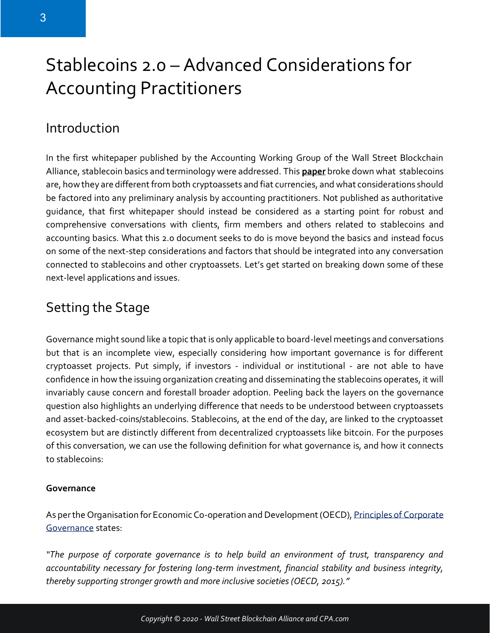## Stablecoins 2.0 – Advanced Considerations for Accounting Practitioners

### Introduction

In the first whitepaper published by the Accounting Working Group of the Wall Street Blockchain Alliance, stablecoin basics and terminology were addressed. This **[paper](https://www.wsba.co/Stablecoins-A-Primer-for-the-Accounting-Professional.html)** broke down what stablecoins are, how they are different from both cryptoassets and fiat currencies, and what considerations should be factored into any preliminary analysis by accounting practitioners. Not published as authoritative guidance, that first whitepaper should instead be considered as a starting point for robust and comprehensive conversations with clients, firm members and others related to stablecoins and accounting basics. What this 2.0 document seeks to do is move beyond the basics and instead focus on some of the next-step considerations and factors that should be integrated into any conversation connected to stablecoins and other cryptoassets. Let's get started on breaking down some of these next-level applications and issues.

### Setting the Stage

Governance might sound like a topic that is only applicable to board-level meetings and conversations but that is an incomplete view, especially considering how important governance is for different cryptoasset projects. Put simply, if investors - individual or institutional - are not able to have confidence in how the issuing organization creating and disseminating the stablecoins operates, it will invariably cause concern and forestall broader adoption. Peeling back the layers on the governance question also highlights an underlying difference that needs to be understood between cryptoassets and asset-backed-coins/stablecoins. Stablecoins, at the end of the day, are linked to the cryptoasset ecosystem but are distinctly different from decentralized cryptoassets like bitcoin. For the purposes of this conversation, we can use the following definition for what governance is, and how it connects to stablecoins:

#### **Governance**

As per the Organisation for Economic Co-operation and Development (OECD), Principles of Corporate [Governance](http://www.oecd.org/corporate/principles-corporate-governance/) states:

*"The purpose of corporate governance is to help build an environment of trust, transparency and accountability necessary for fostering long-term investment, financial stability and business integrity, thereby supporting stronger growth and more inclusive societies (OECD, 2015)."*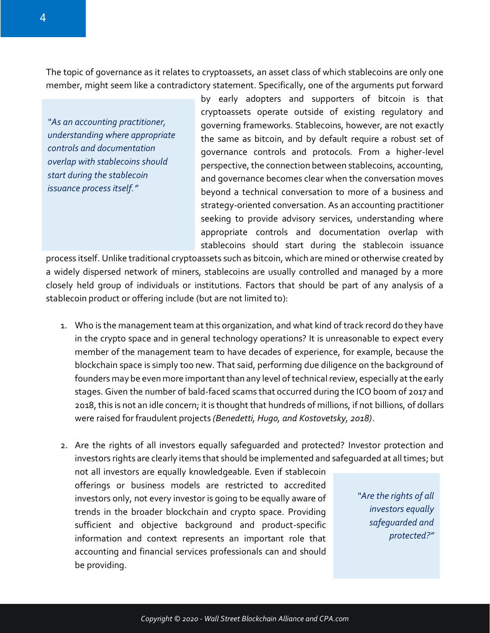The topic of governance as it relates to cryptoassets, an asset class of which stablecoins are only one member, might seem like a contradictory statement. Specifically, one of the arguments put forward

*"As an accounting practitioner, understanding where appropriate controls and documentation overlap with stablecoins should start during the stablecoin issuance process itself."*

by early adopters and supporters of bitcoin is that cryptoassets operate outside of existing regulatory and governing frameworks. Stablecoins, however, are not exactly the same as bitcoin, and by default require a robust set of governance controls and protocols. From a higher-level perspective, the connection between stablecoins, accounting, and governance becomes clear when the conversation moves beyond a technical conversation to more of a business and strategy-oriented conversation. As an accounting practitioner seeking to provide advisory services, understanding where appropriate controls and documentation overlap with stablecoins should start during the stablecoin issuance

process itself. Unlike traditional cryptoassets such as bitcoin, which are mined or otherwise created by a widely dispersed network of miners, stablecoins are usually controlled and managed by a more closely held group of individuals or institutions. Factors that should be part of any analysis of a stablecoin product or offering include (but are not limited to):

- 1. Who is the management team at this organization, and what kind of track record do they have in the crypto space and in general technology operations? It is unreasonable to expect every member of the management team to have decades of experience, for example, because the blockchain space is simply too new. That said, performing due diligence on the background of founders may be even more important than any level of technical review, especially at the early stages. Given the number of bald-faced scams that occurred during the ICO boom of 2017 and 2018, this is not an idle concern; it is thought that hundreds of millions, if not billions, of dollars were raised for fraudulent projects *(Benedetti, Hugo, and Kostovetsky, 2018)*.
- 2. Are the rights of all investors equally safeguarded and protected? Investor protection and investors rights are clearly items that should be implemented and safeguarded at all times; but not all investors are equally knowledgeable. Even if stablecoin

offerings or business models are restricted to accredited investors only, not every investor is going to be equally aware of trends in the broader blockchain and crypto space. Providing sufficient and objective background and product-specific information and context represents an important role that accounting and financial services professionals can and should be providing.

*"Are the rights of all investors equally safeguarded and protected?"*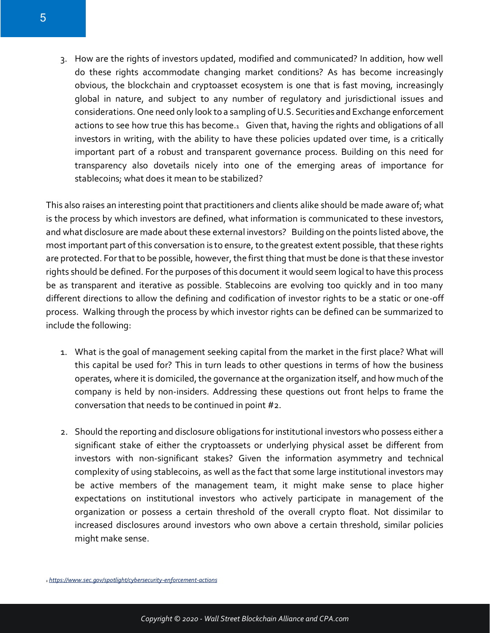3. How are the rights of investors updated, modified and communicated? In addition, how well do these rights accommodate changing market conditions? As has become increasingly obvious, the blockchain and cryptoasset ecosystem is one that is fast moving, increasingly global in nature, and subject to any number of regulatory and jurisdictional issues and considerations. One need only look to a sampling of U.S. Securities and Exchange enforcement actions to see how true this has become.1 Given that, having the rights and obligations of all investors in writing, with the ability to have these policies updated over time, is a critically important part of a robust and transparent governance process. Building on this need for transparency also dovetails nicely into one of the emerging areas of importance for stablecoins; what does it mean to be stabilized?

This also raises an interesting point that practitioners and clients alike should be made aware of; what is the process by which investors are defined, what information is communicated to these investors, and what disclosure are made about these external investors? Building on the points listed above, the most important part of this conversation is to ensure, to the greatest extent possible, that these rights are protected. For that to be possible, however, the first thing that must be done is that these investor rights should be defined. For the purposes of this document it would seem logical to have this process be as transparent and iterative as possible. Stablecoins are evolving too quickly and in too many different directions to allow the defining and codification of investor rights to be a static or one-off process. Walking through the process by which investor rights can be defined can be summarized to include the following:

- 1. What is the goal of management seeking capital from the market in the first place? What will this capital be used for? This in turn leads to other questions in terms of how the business operates, where it is domiciled, the governance at the organization itself, and how much of the company is held by non-insiders. Addressing these questions out front helps to frame the conversation that needs to be continued in point #2.
- 2. Should the reporting and disclosure obligations for institutional investors who possess either a significant stake of either the cryptoassets or underlying physical asset be different from investors with non-significant stakes? Given the information asymmetry and technical complexity of using stablecoins, as well as the fact that some large institutional investors may be active members of the management team, it might make sense to place higher expectations on institutional investors who actively participate in management of the organization or possess a certain threshold of the overall crypto float. Not dissimilar to increased disclosures around investors who own above a certain threshold, similar policies might make sense.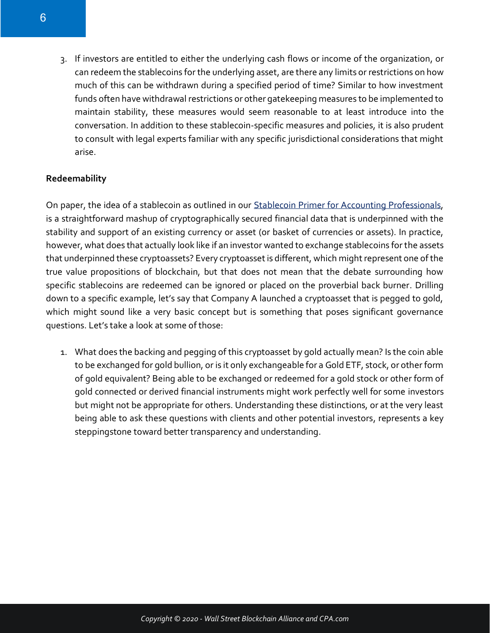3. If investors are entitled to either the underlying cash flows or income of the organization, or can redeem the stablecoins for the underlying asset, are there any limits or restrictions on how much of this can be withdrawn during a specified period of time? Similar to how investment funds often have withdrawal restrictions or other gatekeeping measures to be implemented to maintain stability, these measures would seem reasonable to at least introduce into the conversation. In addition to these stablecoin-specific measures and policies, it is also prudent to consult with legal experts familiar with any specific jurisdictional considerations that might arise.

#### **Redeemability**

On paper, the idea of a stablecoin as outlined in our [Stablecoin Primer for Accounting Professionals,](https://www.wsba.co/stablecoins-a-primer-for-the-accounting-professional.html) is a straightforward mashup of cryptographically secured financial data that is underpinned with the stability and support of an existing currency or asset (or basket of currencies or assets). In practice, however, what does that actually look like if an investor wanted to exchange stablecoins for the assets that underpinned these cryptoassets? Every cryptoasset is different, which might represent one of the true value propositions of blockchain, but that does not mean that the debate surrounding how specific stablecoins are redeemed can be ignored or placed on the proverbial back burner. Drilling down to a specific example, let's say that Company A launched a cryptoasset that is pegged to gold, which might sound like a very basic concept but is something that poses significant governance questions. Let's take a look at some of those:

1. What does the backing and pegging of this cryptoasset by gold actually mean? Is the coin able to be exchanged for gold bullion, or is it only exchangeable for a Gold ETF, stock, or other form of gold equivalent? Being able to be exchanged or redeemed for a gold stock or other form of gold connected or derived financial instruments might work perfectly well for some investors but might not be appropriate for others. Understanding these distinctions, or at the very least being able to ask these questions with clients and other potential investors, represents a key steppingstone toward better transparency and understanding.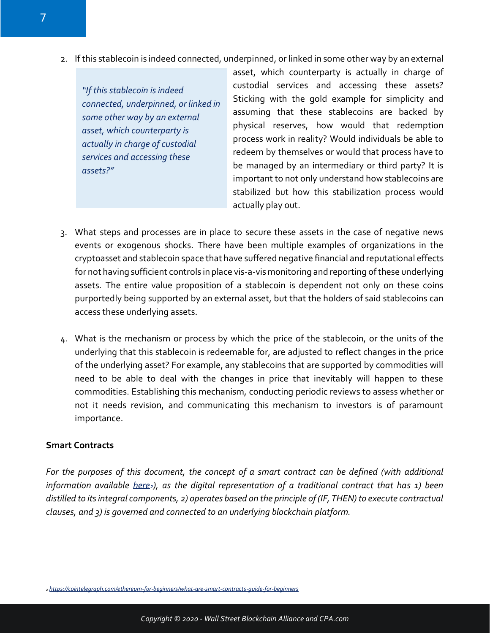2. If this stablecoin is indeed connected, underpinned, or linked in some other way by an external

*"If this stablecoin is indeed connected, underpinned, or linked in some other way by an external asset, which counterparty is actually in charge of custodial services and accessing these assets?"*

asset, which counterparty is actually in charge of custodial services and accessing these assets? Sticking with the gold example for simplicity and assuming that these stablecoins are backed by physical reserves, how would that redemption process work in reality? Would individuals be able to redeem by themselves or would that process have to be managed by an intermediary or third party? It is important to not only understand how stablecoins are stabilized but how this stabilization process would actually play out.

- 3. What steps and processes are in place to secure these assets in the case of negative news events or exogenous shocks. There have been multiple examples of organizations in the cryptoasset and stablecoin space that have suffered negative financial and reputational effects for not having sufficient controls in place vis-a-vis monitoring and reporting of these underlying assets. The entire value proposition of a stablecoin is dependent not only on these coins purportedly being supported by an external asset, but that the holders of said stablecoins can access these underlying assets.
- 4. What is the mechanism or process by which the price of the stablecoin, or the units of the underlying that this stablecoin is redeemable for, are adjusted to reflect changes in the price of the underlying asset? For example, any stablecoins that are supported by commodities will need to be able to deal with the changes in price that inevitably will happen to these commodities. Establishing this mechanism, conducting periodic reviews to assess whether or not it needs revision, and communicating this mechanism to investors is of paramount importance.

#### **Smart Contracts**

*For the purposes of this document, the concept of a smart contract can be defined (with additional information available [here](https://cointelegraph.com/ethereum-for-beginners/what-are-smart-contracts-guide-for-beginners)2), as the digital representation of a traditional contract that has 1) been distilled to its integral components, 2) operates based on the principle of (IF, THEN) to execute contractual clauses, and 3) is governed and connected to an underlying blockchain platform.*

*<sup>2</sup> <https://cointelegraph.com/ethereum-for-beginners/what-are-smart-contracts-guide-for-beginners>*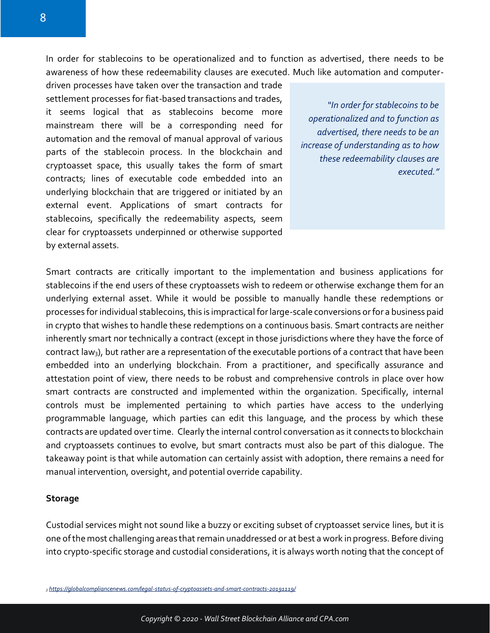In order for stablecoins to be operationalized and to function as advertised, there needs to be awareness of how these redeemability clauses are executed. Much like automation and computer-

driven processes have taken over the transaction and trade settlement processes for fiat-based transactions and trades, it seems logical that as stablecoins become more mainstream there will be a corresponding need for automation and the removal of manual approval of various parts of the stablecoin process. In the blockchain and cryptoasset space, this usually takes the form of smart contracts; lines of executable code embedded into an underlying blockchain that are triggered or initiated by an external event. Applications of smart contracts for stablecoins, specifically the redeemability aspects, seem clear for cryptoassets underpinned or otherwise supported by external assets.

*"In order for stablecoins to be operationalized and to function as advertised, there needs to be an increase of understanding as to how these redeemability clauses are executed."*

Smart contracts are critically important to the implementation and business applications for stablecoins if the end users of these cryptoassets wish to redeem or otherwise exchange them for an underlying external asset. While it would be possible to manually handle these redemptions or processes for individual stablecoins, this is impractical for large-scale conversions or for a business paid in crypto that wishes to handle these redemptions on a continuous basis. Smart contracts are neither inherently smart nor technically a contract (except in those jurisdictions where they have the force of contract law<sub>3</sub>), but rather are a representation of the executable portions of a contract that have been embedded into an underlying blockchain. From a practitioner, and specifically assurance and attestation point of view, there needs to be robust and comprehensive controls in place over how smart contracts are constructed and implemented within the organization. Specifically, internal controls must be implemented pertaining to which parties have access to the underlying programmable language, which parties can edit this language, and the process by which these contracts are updated over time. Clearly the internal control conversation as it connects to blockchain and cryptoassets continues to evolve, but smart contracts must also be part of this dialogue. The takeaway point is that while automation can certainly assist with adoption, there remains a need for manual intervention, oversight, and potential override capability.

#### **Storage**

Custodial services might not sound like a buzzy or exciting subset of cryptoasset service lines, but it is one of the most challenging areas that remain unaddressed or at best a work in progress. Before diving into crypto-specific storage and custodial considerations, it is always worth noting that the concept of

*<sup>3</sup> <https://globalcompliancenews.com/legal-status-of-cryptoassets-and-smart-contracts-20191119/>*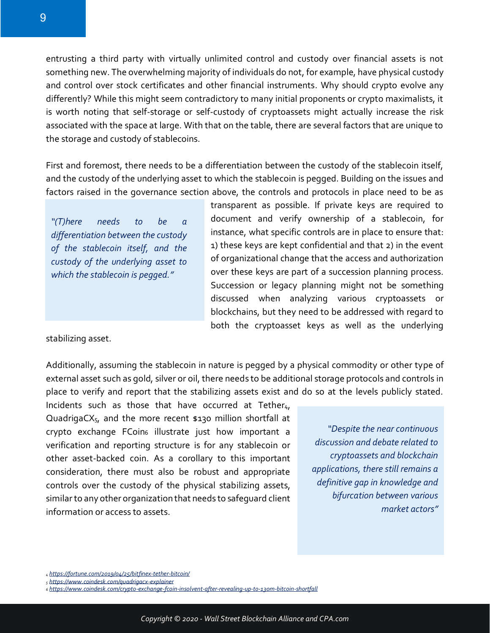entrusting a third party with virtually unlimited control and custody over financial assets is not something new. The overwhelming majority of individuals do not, for example, have physical custody and control over stock certificates and other financial instruments. Why should crypto evolve any differently? While this might seem contradictory to many initial proponents or crypto maximalists, it is worth noting that self-storage or self-custody of cryptoassets might actually increase the risk associated with the space at large. With that on the table, there are several factors that are unique to the storage and custody of stablecoins.

First and foremost, there needs to be a differentiation between the custody of the stablecoin itself, and the custody of the underlying asset to which the stablecoin is pegged. Building on the issues and factors raised in the governance section above, the controls and protocols in place need to be as

*"(T)here needs to be a differentiation between the custody of the stablecoin itself, and the custody of the underlying asset to which the stablecoin is pegged."*

transparent as possible. If private keys are required to document and verify ownership of a stablecoin, for instance, what specific controls are in place to ensure that: 1) these keys are kept confidential and that 2) in the event of organizational change that the access and authorization over these keys are part of a succession planning process. Succession or legacy planning might not be something discussed when analyzing various cryptoassets or blockchains, but they need to be addressed with regard to both the cryptoasset keys as well as the underlying

stabilizing asset.

Additionally, assuming the stablecoin in nature is pegged by a physical commodity or other type of external asset such as gold, silver or oil, there needs to be additional storage protocols and controls in place to verify and report that the stabilizing assets exist and do so at the levels publicly stated.

Incidents such as those that have occurred at Tether $4$ , QuadrigaCX5, and the more recent \$130 million shortfall at crypto exchange FCoin<sup>6</sup> illustrate just how important a verification and reporting structure is for any stablecoin or other asset-backed coin. As a corollary to this important consideration, there must also be robust and appropriate controls over the custody of the physical stabilizing assets, similar to any other organization that needs to safeguard client information or access to assets.

*"Despite the near continuous discussion and debate related to cryptoassets and blockchain applications, there still remains a definitive gap in knowledge and bifurcation between various market actors"*

*<sup>4</sup> <https://fortune.com/2019/04/25/bitfinex-tether-bitcoin/>*

*<sup>5</sup> <https://www.coindesk.com/quadrigacx-explainer>*

*<sup>6</sup> <https://www.coindesk.com/crypto-exchange-fcoin-insolvent-after-revealing-up-to-130m-bitcoin-shortfall>*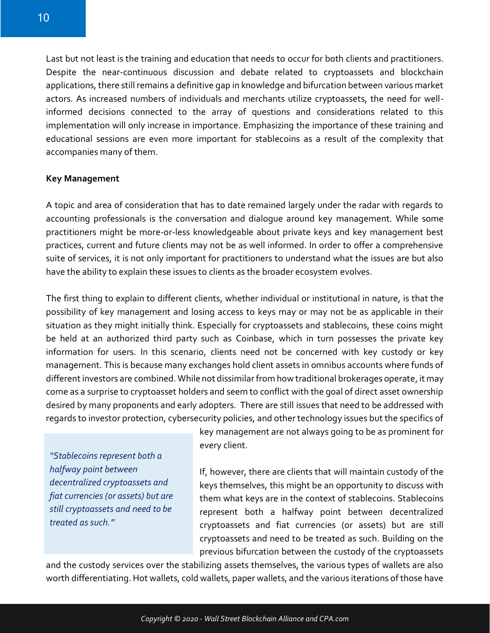Last but not least is the training and education that needs to occur for both clients and practitioners. Despite the near-continuous discussion and debate related to cryptoassets and blockchain applications, there still remains a definitive gap in knowledge and bifurcation between various market actors. As increased numbers of individuals and merchants utilize cryptoassets, the need for wellinformed decisions connected to the array of questions and considerations related to this implementation will only increase in importance. Emphasizing the importance of these training and educational sessions are even more important for stablecoins as a result of the complexity that accompanies many of them.

#### **Key Management**

A topic and area of consideration that has to date remained largely under the radar with regards to accounting professionals is the conversation and dialogue around key management. While some practitioners might be more-or-less knowledgeable about private keys and key management best practices, current and future clients may not be as well informed. In order to offer a comprehensive suite of services, it is not only important for practitioners to understand what the issues are but also have the ability to explain these issues to clients as the broader ecosystem evolves.

The first thing to explain to different clients, whether individual or institutional in nature, is that the possibility of key management and losing access to keys may or may not be as applicable in their situation as they might initially think. Especially for cryptoassets and stablecoins, these coins might be held at an authorized third party such as Coinbase, which in turn possesses the private key information for users. In this scenario, clients need not be concerned with key custody or key management. This is because many exchanges hold client assets in omnibus accounts where funds of different investors are combined. While not dissimilar from how traditional brokerages operate, it may come as a surprise to cryptoasset holders and seem to conflict with the goal of direct asset ownership desired by many proponents and early adopters. There are still issues that need to be addressed with regards to investor protection, cybersecurity policies, and other technology issues but the specifics of

*"Stablecoins represent both a halfway point between decentralized cryptoassets and fiat currencies (or assets) but are still cryptoassets and need to be treated as such."*

key management are not always going to be as prominent for every client.

If, however, there are clients that will maintain custody of the keys themselves, this might be an opportunity to discuss with them what keys are in the context of stablecoins. Stablecoins represent both a halfway point between decentralized cryptoassets and fiat currencies (or assets) but are still cryptoassets and need to be treated as such. Building on the previous bifurcation between the custody of the cryptoassets

and the custody services over the stabilizing assets themselves, the various types of wallets are also worth differentiating. Hot wallets, cold wallets, paper wallets, and the various iterations of those have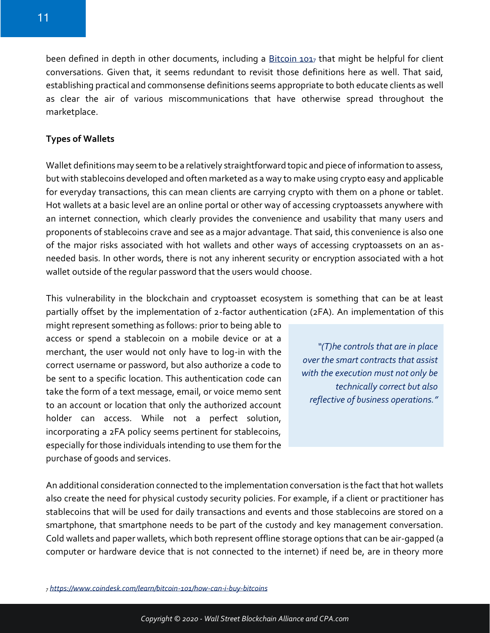been defined in depth in other documents, including a [Bitcoin 101](https://www.coindesk.com/learn/bitcoin-101/how-can-i-buy-bitcoins)7 that might be helpful for client conversations. Given that, it seems redundant to revisit those definitions here as well. That said, establishing practical and commonsense definitions seems appropriate to both educate clients as well as clear the air of various miscommunications that have otherwise spread throughout the marketplace.

#### **Types of Wallets**

Wallet definitions may seem to be a relatively straightforward topic and piece of information to assess, but with stablecoins developed and often marketed as a way to make using crypto easy and applicable for everyday transactions, this can mean clients are carrying crypto with them on a phone or tablet. Hot wallets at a basic level are an online portal or other way of accessing cryptoassets anywhere with an internet connection, which clearly provides the convenience and usability that many users and proponents of stablecoins crave and see as a major advantage. That said, this convenience is also one of the major risks associated with hot wallets and other ways of accessing cryptoassets on an asneeded basis. In other words, there is not any inherent security or encryption associated with a hot wallet outside of the regular password that the users would choose.

This vulnerability in the blockchain and cryptoasset ecosystem is something that can be at least partially offset by the implementation of 2-factor authentication (2FA). An implementation of this

might represent something as follows: prior to being able to access or spend a stablecoin on a mobile device or at a merchant, the user would not only have to log-in with the correct username or password, but also authorize a code to be sent to a specific location. This authentication code can take the form of a text message, email, or voice memo sent to an account or location that only the authorized account holder can access. While not a perfect solution, incorporating a 2FA policy seems pertinent for stablecoins, especially for those individuals intending to use them for the purchase of goods and services.

*"(T)he controls that are in place over the smart contracts that assist with the execution must not only be technically correct but also reflective of business operations."*

An additional consideration connected to the implementation conversation is the fact that hot wallets also create the need for physical custody security policies. For example, if a client or practitioner has stablecoins that will be used for daily transactions and events and those stablecoins are stored on a smartphone, that smartphone needs to be part of the custody and key management conversation. Cold wallets and paper wallets, which both represent offline storage options that can be air-gapped (a computer or hardware device that is not connected to the internet) if need be, are in theory more

*<sup>7</sup> <https://www.coindesk.com/learn/bitcoin-101/how-can-i-buy-bitcoins>*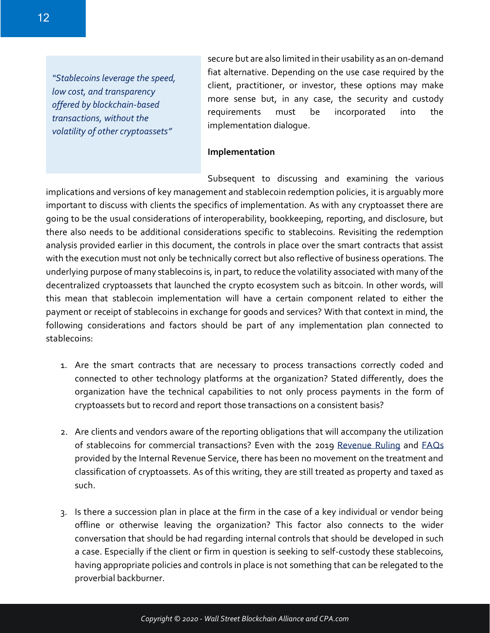*"Stablecoins leverage the speed, low cost, and transparency offered by blockchain-based transactions, without the volatility of other cryptoassets"*

secure but are also limited in their usability as an on-demand fiat alternative. Depending on the use case required by the client, practitioner, or investor, these options may make more sense but, in any case, the security and custody requirements must be incorporated into the implementation dialogue.

#### **Implementation**

Subsequent to discussing and examining the various implications and versions of key management and stablecoin redemption policies, it is arguably more important to discuss with clients the specifics of implementation. As with any cryptoasset there are going to be the usual considerations of interoperability, bookkeeping, reporting, and disclosure, but there also needs to be additional considerations specific to stablecoins. Revisiting the redemption analysis provided earlier in this document, the controls in place over the smart contracts that assist with the execution must not only be technically correct but also reflective of business operations. The underlying purpose of many stablecoins is, in part, to reduce the volatility associated with many of the decentralized cryptoassets that launched the crypto ecosystem such as bitcoin. In other words, will this mean that stablecoin implementation will have a certain component related to either the payment or receipt of stablecoins in exchange for goods and services? With that context in mind, the following considerations and factors should be part of any implementation plan connected to stablecoins:

- 1. Are the smart contracts that are necessary to process transactions correctly coded and connected to other technology platforms at the organization? Stated differently, does the organization have the technical capabilities to not only process payments in the form of cryptoassets but to record and report those transactions on a consistent basis?
- 2. Are clients and vendors aware of the reporting obligations that will accompany the utilization of stablecoins for commercial transactions? Even with the 2019 [Revenue](https://www.irs.gov/pub/irs-drop/rr-19-24.pdf) Ruling and [FAQs](https://www.irs.gov/individuals/international-taxpayers/frequently-asked-questions-on-virtual-currency-transactions) provided by the Internal Revenue Service, there has been no movement on the treatment and classification of cryptoassets. As of this writing, they are still treated as property and taxed as such.
- 3. Is there a succession plan in place at the firm in the case of a key individual or vendor being offline or otherwise leaving the organization? This factor also connects to the wider conversation that should be had regarding internal controls that should be developed in such a case. Especially if the client or firm in question is seeking to self-custody these stablecoins, having appropriate policies and controls in place is not something that can be relegated to the proverbial backburner.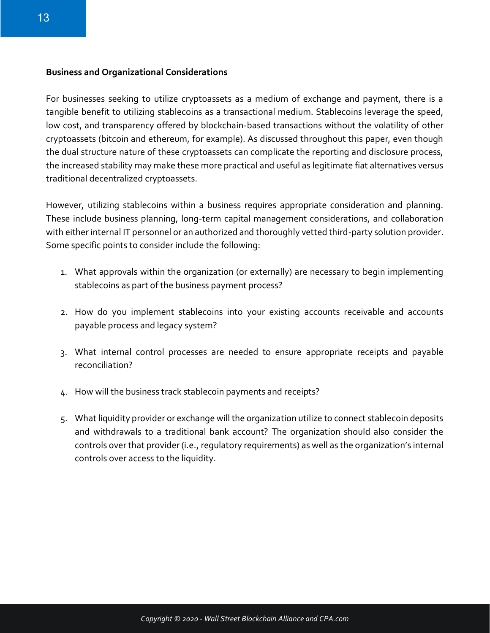#### **Business and Organizational Considerations**

For businesses seeking to utilize cryptoassets as a medium of exchange and payment, there is a tangible benefit to utilizing stablecoins as a transactional medium. Stablecoins leverage the speed, low cost, and transparency offered by blockchain-based transactions without the volatility of other cryptoassets (bitcoin and ethereum, for example). As discussed throughout this paper, even though the dual structure nature of these cryptoassets can complicate the reporting and disclosure process, the increased stability may make these more practical and useful as legitimate fiat alternatives versus traditional decentralized cryptoassets.

However, utilizing stablecoins within a business requires appropriate consideration and planning. These include business planning, long-term capital management considerations, and collaboration with either internal IT personnel or an authorized and thoroughly vetted third-party solution provider. Some specific points to consider include the following:

- 1. What approvals within the organization (or externally) are necessary to begin implementing stablecoins as part of the business payment process?
- 2. How do you implement stablecoins into your existing accounts receivable and accounts payable process and legacy system?
- 3. What internal control processes are needed to ensure appropriate receipts and payable reconciliation?
- 4. How will the business track stablecoin payments and receipts?
- 5. What liquidity provider or exchange will the organization utilize to connect stablecoin deposits and withdrawals to a traditional bank account? The organization should also consider the controls over that provider (i.e., regulatory requirements) as well as the organization's internal controls over access to the liquidity.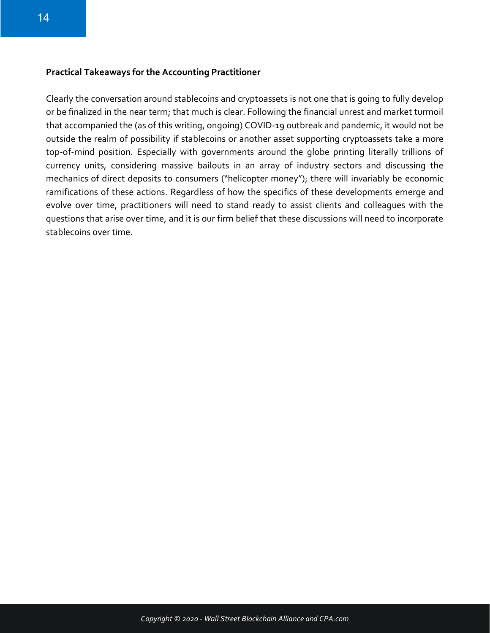#### **Practical Takeaways for the Accounting Practitioner**

Clearly the conversation around stablecoins and cryptoassets is not one that is going to fully develop or be finalized in the near term; that much is clear. Following the financial unrest and market turmoil that accompanied the (as of this writing, ongoing) COVID-19 outbreak and pandemic, it would not be outside the realm of possibility if stablecoins or another asset supporting cryptoassets take a more top-of-mind position. Especially with governments around the globe printing literally trillions of currency units, considering massive bailouts in an array of industry sectors and discussing the mechanics of direct deposits to consumers ("helicopter money"); there will invariably be economic ramifications of these actions. Regardless of how the specifics of these developments emerge and evolve over time, practitioners will need to stand ready to assist clients and colleagues with the questions that arise over time, and it is our firm belief that these discussions will need to incorporate stablecoins over time.